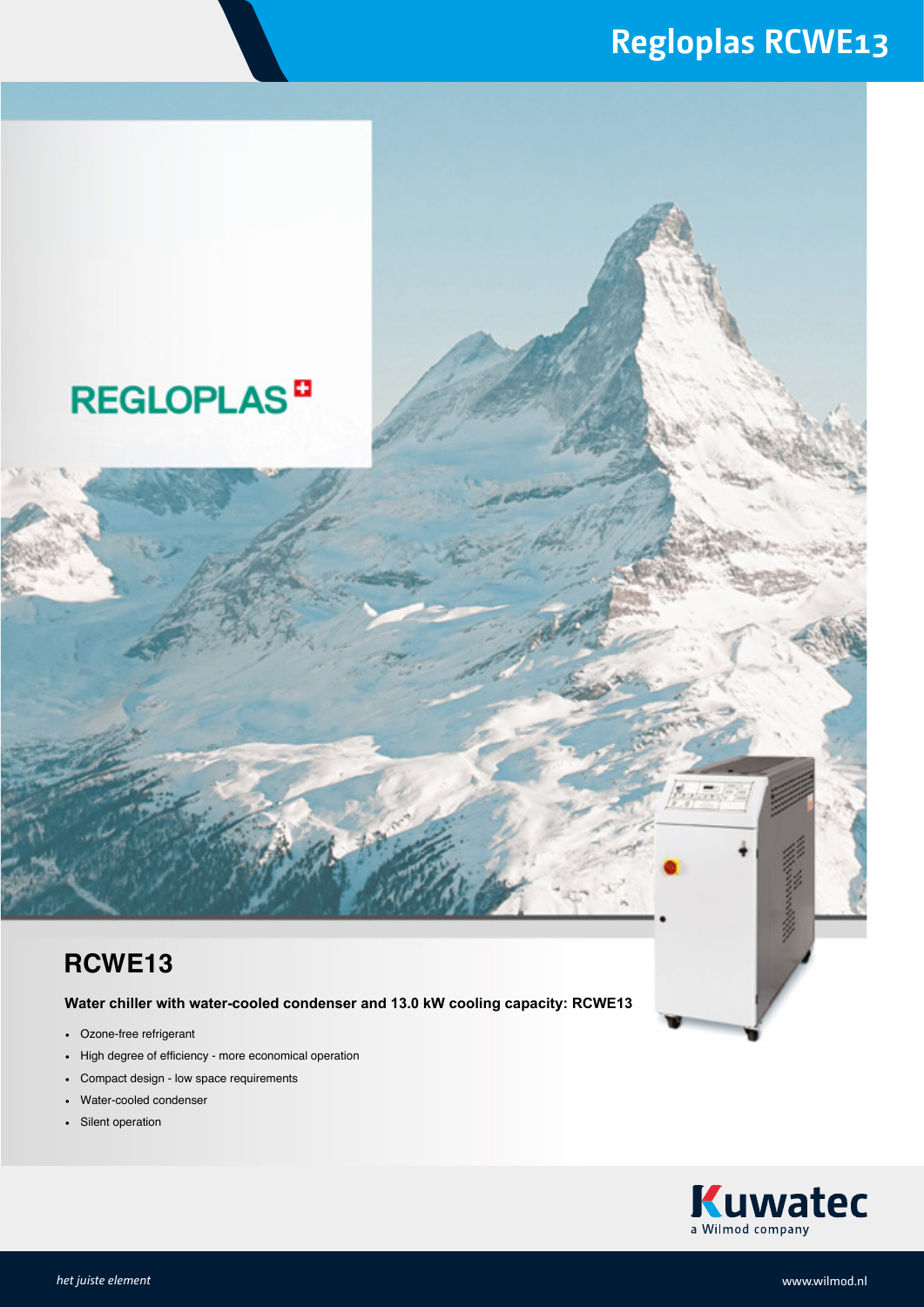### **Regloplas RCWE13**

## **REGLOPLAS<sup>D</sup>**

#### **RCWE13**

**Water chiller with water-cooled condenser and 13.0 kW cooling capacity: RCWE13**

- Ozone-free refrigerant
- High degree of efficiency more economical operation
- Compact design low space requirements
- Water-cooled condenser
- Silent operation